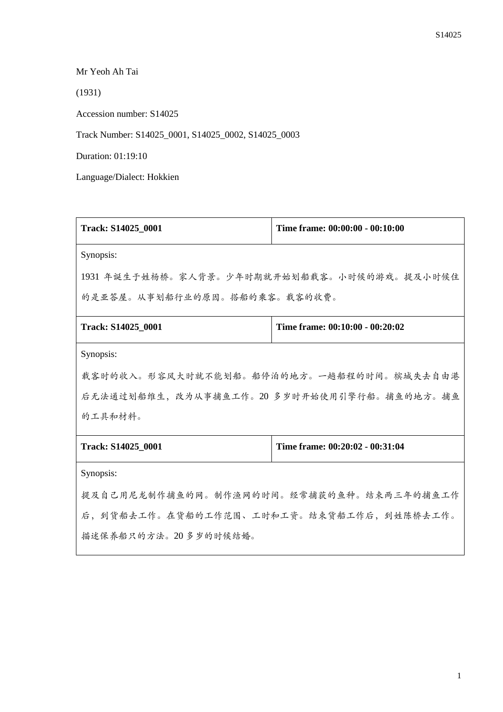Mr Yeoh Ah Tai

(1931)

Accession number: S14025

Track Number: S14025\_0001, S14025\_0002, S14025\_0003

Duration: 01:19:10

Language/Dialect: Hokkien

| Track: S14025_0001                          | Time frame: 00:00:00 - 00:10:00 |  |
|---------------------------------------------|---------------------------------|--|
| Synopsis:                                   |                                 |  |
| 1931 年诞生于姓杨桥。家人背景。少年时期就开始划船载客。小时候的游戏。提及小时候住 |                                 |  |
| 的是亚答屋。从事划船行业的原因。搭船的乘客。载客的收费。                |                                 |  |
| Track: S14025_0001                          | Time frame: 00:10:00 - 00:20:02 |  |
| Synopsis:                                   |                                 |  |
| 载客时的收入。形容风大时就不能划船。船停泊的地方。一趟船程的时间。槟城失去自由港    |                                 |  |
| 后无法通过划船维生, 改为从事捕鱼工作。20 多岁时开始使用引擎行船。捕鱼的地方。捕鱼 |                                 |  |
| 的工具和材料。                                     |                                 |  |
| Track: S14025_0001                          | Time frame: 00:20:02 - 00:31:04 |  |
| Synopsis:                                   |                                 |  |
| 提及自己用尼龙制作捕鱼的网。制作渔网的时间。经常捕获的鱼种。结束两三年的捕鱼工作    |                                 |  |
| 后,到货船去工作。在货船的工作范围、工时和工资。结束货船工作后,到姓陈桥去工作。    |                                 |  |
| 描述保养船只的方法。20多岁的时候结婚。                        |                                 |  |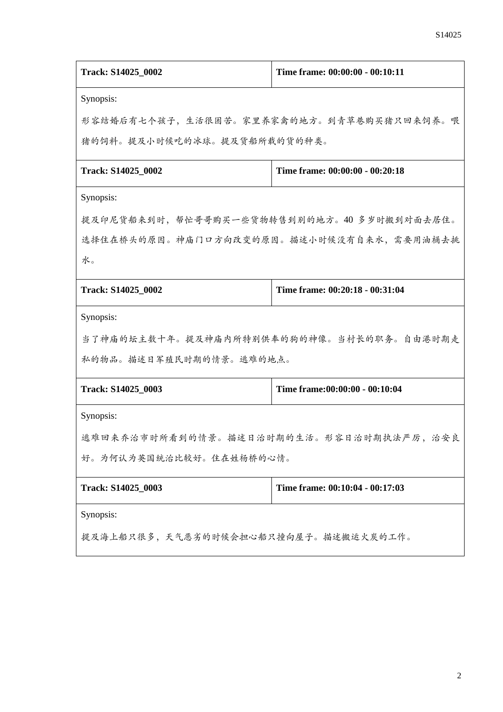| Track: S14025_0002                         | Time frame: 00:00:00 - 00:10:11          |  |
|--------------------------------------------|------------------------------------------|--|
| Synopsis:                                  |                                          |  |
| 形容结婚后有七个孩子,生活很困苦。家里养家禽的地方。到青草巷购买猪只回来饲养。喂   |                                          |  |
| 猪的饲料。提及小时候吃的冰球。提及货船所载的货的种类。                |                                          |  |
| Track: S14025_0002                         | Time frame: 00:00:00 - 00:20:18          |  |
| Synopsis:                                  |                                          |  |
| 提及印尼货船来到时,帮忙哥哥购买一些货物转售到别的地方。40 多岁时搬到对面去居住。 |                                          |  |
| 选择住在桥头的原因。神庙门口方向改变的原因。描述小时候没有自来水,需要用油桶去挑   |                                          |  |
| 水。                                         |                                          |  |
| Track: S14025 0002                         | Time frame: 00:20:18 - 00:31:04          |  |
| Synopsis:                                  |                                          |  |
|                                            | 当了神庙的坛主数十年。提及神庙内所特别供奉的狗的神像。当村长的职务。自由港时期走 |  |
| 私的物品。描述日军殖民时期的情景。逃难的地点。                    |                                          |  |
| Track: S14025_0003                         | Time frame:00:00:00 - 00:10:04           |  |
| Synopsis:                                  |                                          |  |
| 逃难回来乔治市时所看到的情景。描述日治时期的生活。形容日治时期执法严厉,治安良    |                                          |  |
| 好。为何认为英国统治比较好。住在姓杨桥的心情。                    |                                          |  |
| Track: S14025 0003                         | Time frame: 00:10:04 - 00:17:03          |  |
| Synopsis:                                  |                                          |  |
| 提及海上船只很多,天气恶劣的时候会担心船只撞向屋子。描述搬运火炭的工作。       |                                          |  |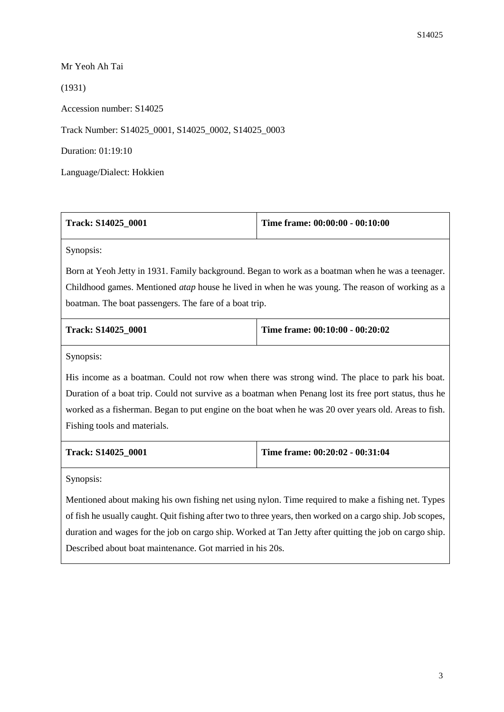Mr Yeoh Ah Tai

(1931)

Accession number: S14025

Track Number: S14025\_0001, S14025\_0002, S14025\_0003

Duration: 01:19:10

Language/Dialect: Hokkien

| <b>Track: S14025 0001</b> | Time frame: $00:00:00 - 00:10:00$ |
|---------------------------|-----------------------------------|
|                           |                                   |

Synopsis:

Born at Yeoh Jetty in 1931. Family background. Began to work as a boatman when he was a teenager. Childhood games. Mentioned *atap* house he lived in when he was young. The reason of working as a boatman. The boat passengers. The fare of a boat trip.

| <b>Track: S14025 0001</b> | Time frame: $00:10:00 - 00:20:02$ |
|---------------------------|-----------------------------------|
|                           |                                   |

Synopsis:

His income as a boatman. Could not row when there was strong wind. The place to park his boat. Duration of a boat trip. Could not survive as a boatman when Penang lost its free port status, thus he worked as a fisherman. Began to put engine on the boat when he was 20 over years old. Areas to fish. Fishing tools and materials.

| Track: S14025 0001 |  |
|--------------------|--|
|--------------------|--|

**Track: S14025\_0001 Time frame: 00:20:02 - 00:31:04**

Synopsis:

Mentioned about making his own fishing net using nylon. Time required to make a fishing net. Types of fish he usually caught. Quit fishing after two to three years, then worked on a cargo ship. Job scopes, duration and wages for the job on cargo ship. Worked at Tan Jetty after quitting the job on cargo ship. Described about boat maintenance. Got married in his 20s.